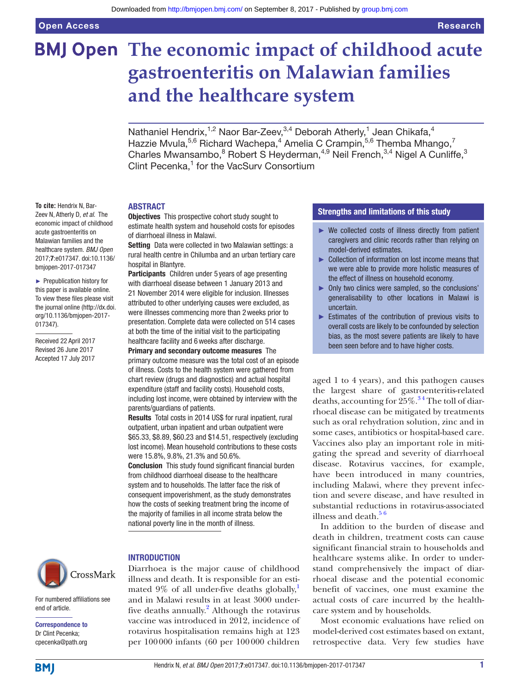**To cite:** Hendrix N, Bar-

acute gastroenteritis on

[017347\)](http://dx.doi.org/10.1136/bmjopen-2017-017347).

Received 22 April 2017 Revised 26 June 2017 Accepted 17 July 2017

2017;7:e017347. doi:10.1136/ bmjopen-2017-017347 ► Prepublication history for this paper is available online. To view these files please visit the journal online [\(http://dx.doi.](http://dx.doi.org/10.1136/bmjopen-2017-017347) [org/10.1136/bmjopen-2017-](http://dx.doi.org/10.1136/bmjopen-2017-017347)

# **BMJ Open The economic impact of childhood acute gastroenteritis on Malawian families and the healthcare system**

Nathaniel Hendrix,<sup>1,2</sup> Naor Bar-Zeev,<sup>3,4</sup> Deborah Atherly,<sup>1</sup> Jean Chikafa,<sup>4</sup> Hazzie Mvula,<sup>5,6</sup> Richard Wachepa,<sup>4</sup> Amelia C Crampin,<sup>5,6</sup> Themba Mhango,<sup>7</sup> Charles Mwansambo,<sup>8</sup> Robert S Heyderman,<sup>4,9</sup> Neil French,<sup>3,4</sup> Nigel A Cunliffe,<sup>3</sup> Clint Pecenka,<sup>1</sup> for the VacSurv Consortium

#### **ABSTRACT**

**Objectives** This prospective cohort study sought to estimate health system and household costs for episodes of diarrhoeal illness in Malawi. Setting Data were collected in two Malawian settings: a Zeev N, Atherly D, *et al*. The economic impact of childhood Malawian families and the healthcare system. *BMJ Open*

rural health centre in Chilumba and an urban tertiary care hospital in Blantyre.

Participants Children under 5 years of age presenting with diarrhoeal disease between 1 January 2013 and 21 November 2014 were eligible for inclusion. Illnesses attributed to other underlying causes were excluded, as were illnesses commencing more than 2weeks prior to presentation. Complete data were collected on 514 cases at both the time of the initial visit to the participating healthcare facility and 6weeks after discharge.

Primary and secondary outcome measures The primary outcome measure was the total cost of an episode of illness. Costs to the health system were gathered from chart review (drugs and diagnostics) and actual hospital expenditure (staff and facility costs). Household costs, including lost income, were obtained by interview with the parents/guardians of patients.

Results Total costs in 2014 US\$ for rural inpatient, rural outpatient, urban inpatient and urban outpatient were \$65.33, \$8.89, \$60.23 and \$14.51, respectively (excluding lost income). Mean household contributions to these costs were 15.8%, 9.8%, 21.3% and 50.6%.

Conclusion This study found significant financial burden from childhood diarrhoeal disease to the healthcare system and to households. The latter face the risk of consequent impoverishment, as the study demonstrates how the costs of seeking treatment bring the income of the majority of families in all income strata below the national poverty line in the month of illness.



For numbered affiliations see end of article.

Correspondence to Dr Clint Pecenka; cpecenka@path.org

#### **INTRODUCTION**

Diarrhoea is the major cause of childhood illness and death. It is responsible for an estimated  $9\%$  of all under-five deaths globally, and in Malawi results in at least 3000 underfive deaths annually. $^{2}$  $^{2}$  $^{2}$  Although the rotavirus vaccine was introduced in 2012, incidence of rotavirus hospitalisation remains high at 123 per 100000 infants (60 per 100000 children

### Strengths and limitations of this study

- ► We collected costs of illness directly from patient caregivers and clinic records rather than relying on model-derived estimates.
- ► Collection of information on lost income means that we were able to provide more holistic measures of the effect of illness on household economy.
- ► Only two clinics were sampled, so the conclusions' generalisability to other locations in Malawi is uncertain.
- ► Estimates of the contribution of previous visits to overall costs are likely to be confounded by selection bias, as the most severe patients are likely to have been seen before and to have higher costs.

aged 1 to 4 years), and this pathogen causes the largest share of gastroenteritis-related deaths, accounting for  $25\%$ .<sup>34</sup> The toll of diarrhoeal disease can be mitigated by treatments such as oral rehydration solution, zinc and in some cases, antibiotics or hospital-based care. Vaccines also play an important role in mitigating the spread and severity of diarrhoeal disease. Rotavirus vaccines, for example, have been introduced in many countries, including Malawi, where they prevent infection and severe disease, and have resulted in substantial reductions in rotavirus-associated illness and death. $56$ 

In addition to the burden of disease and death in children, treatment costs can cause significant financial strain to households and healthcare systems alike. In order to understand comprehensively the impact of diarrhoeal disease and the potential economic benefit of vaccines, one must examine the actual costs of care incurred by the healthcare system and by households.

Most economic evaluations have relied on model-derived cost estimates based on extant, retrospective data. Very few studies have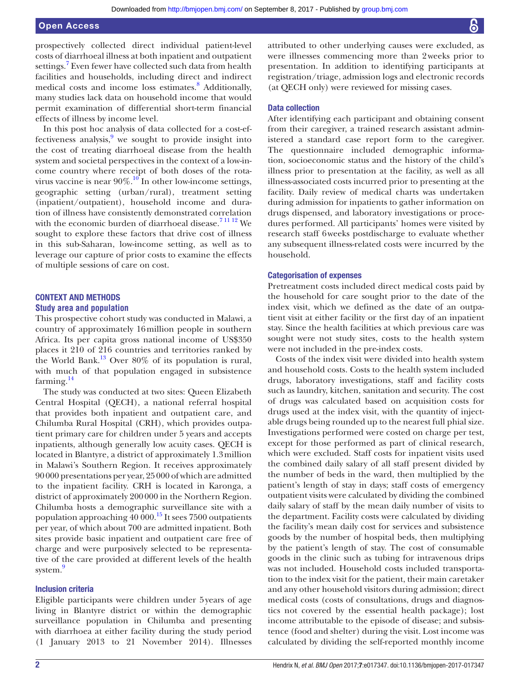prospectively collected direct individual patient-level costs of diarrhoeal illness at both inpatient and outpatient settings.<sup>[7](#page-6-4)</sup> Even fewer have collected such data from health facilities and households, including direct and indirect medical costs and income loss estimates.<sup>[8](#page-6-5)</sup> Additionally, many studies lack data on household income that would permit examination of differential short-term financial effects of illness by income level.

In this post hoc analysis of data collected for a cost-ef-fectiveness analysis,<sup>[9](#page-6-6)</sup> we sought to provide insight into the cost of treating diarrhoeal disease from the health system and societal perspectives in the context of a low-income country where receipt of both doses of the rotavirus vaccine is near  $90\%$ .<sup>10</sup> In other low-income settings, geographic setting (urban/rural), treatment setting (inpatient/outpatient), household income and duration of illness have consistently demonstrated correlation with the economic burden of diarrhoeal disease.<sup>[7 11 12](#page-6-4)</sup> We sought to explore these factors that drive cost of illness in this sub-Saharan, low-income setting, as well as to leverage our capture of prior costs to examine the effects of multiple sessions of care on cost.

## CONTEXT AND METHODS **Study area and population**

This prospective cohort study was conducted in Malawi, a country of approximately 16million people in southern Africa. Its per capita gross national income of US\$350 places it 210 of 216 countries and territories ranked by the World Bank.<sup>[13](#page-6-8)</sup> Over  $80\%$  of its population is rural, with much of that population engaged in subsistence farming.<sup>[14](#page-6-9)</sup>

The study was conducted at two sites: Queen Elizabeth Central Hospital (QECH), a national referral hospital that provides both inpatient and outpatient care, and Chilumba Rural Hospital (CRH), which provides outpatient primary care for children under 5 years and accepts inpatients, although generally low acuity cases. QECH is located in Blantyre, a district of approximately 1.3million in Malawi's Southern Region. It receives approximately 90000 presentations per year, 25000 of which are admitted to the inpatient facility. CRH is located in Karonga, a district of approximately 200000 in the Northern Region. Chilumba hosts a demographic surveillance site with a population approaching 40 000.[15](#page-6-10) It sees 7500 outpatients per year, of which about 700 are admitted inpatient. Both sites provide basic inpatient and outpatient care free of charge and were purposively selected to be representative of the care provided at different levels of the health system.<sup>9</sup>

#### Inclusion criteria

Eligible participants were children under 5years of age living in Blantyre district or within the demographic surveillance population in Chilumba and presenting with diarrhoea at either facility during the study period (1 January 2013 to 21 November 2014). Illnesses

attributed to other underlying causes were excluded, as were illnesses commencing more than 2weeks prior to presentation. In addition to identifying participants at registration/triage, admission logs and electronic records (at QECH only) were reviewed for missing cases.

#### Data collection

After identifying each participant and obtaining consent from their caregiver, a trained research assistant administered a standard case report form to the caregiver. The questionnaire included demographic information, socioeconomic status and the history of the child's illness prior to presentation at the facility, as well as all illness-associated costs incurred prior to presenting at the facility. Daily review of medical charts was undertaken during admission for inpatients to gather information on drugs dispensed, and laboratory investigations or procedures performed. All participants' homes were visited by research staff 6weeks postdischarge to evaluate whether any subsequent illness-related costs were incurred by the household.

#### Categorisation of expenses

Pretreatment costs included direct medical costs paid by the household for care sought prior to the date of the index visit, which we defined as the date of an outpatient visit at either facility or the first day of an inpatient stay. Since the health facilities at which previous care was sought were not study sites, costs to the health system were not included in the pre-index costs.

Costs of the index visit were divided into health system and household costs. Costs to the health system included drugs, laboratory investigations, staff and facility costs such as laundry, kitchen, sanitation and security. The cost of drugs was calculated based on acquisition costs for drugs used at the index visit, with the quantity of injectable drugs being rounded up to the nearest full phial size. Investigations performed were costed on charge per test, except for those performed as part of clinical research, which were excluded. Staff costs for inpatient visits used the combined daily salary of all staff present divided by the number of beds in the ward, then multiplied by the patient's length of stay in days; staff costs of emergency outpatient visits were calculated by dividing the combined daily salary of staff by the mean daily number of visits to the department. Facility costs were calculated by dividing the facility's mean daily cost for services and subsistence goods by the number of hospital beds, then multiplying by the patient's length of stay. The cost of consumable goods in the clinic such as tubing for intravenous drips was not included. Household costs included transportation to the index visit for the patient, their main caretaker and any other household visitors during admission; direct medical costs (costs of consultations, drugs and diagnostics not covered by the essential health package); lost income attributable to the episode of disease; and subsistence (food and shelter) during the visit. Lost income was calculated by dividing the self-reported monthly income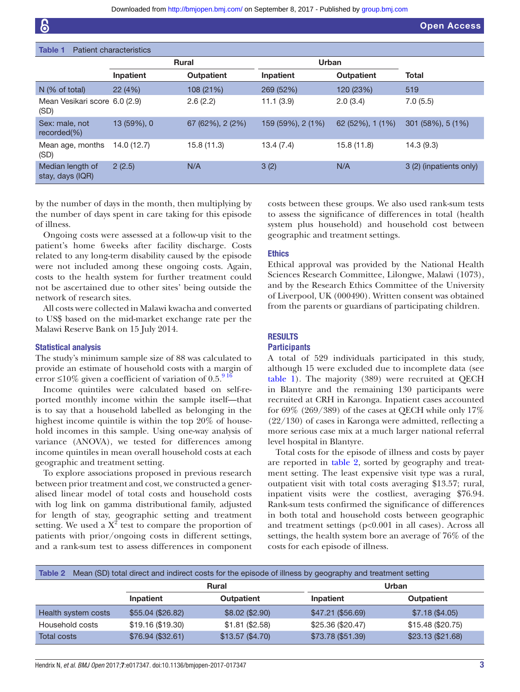| <b>Open Access</b> |
|--------------------|
|--------------------|

<span id="page-2-0"></span>

| Patient characteristics<br>Table 1    |              |                   |                   |                   |                         |
|---------------------------------------|--------------|-------------------|-------------------|-------------------|-------------------------|
|                                       | <b>Rural</b> |                   | Urban             |                   |                         |
|                                       | Inpatient    | <b>Outpatient</b> | Inpatient         | <b>Outpatient</b> | <b>Total</b>            |
| $N$ (% of total)                      | 22(4%)       | 108 (21%)         | 269 (52%)         | 120 (23%)         | 519                     |
| Mean Vesikari score 6.0 (2.9)<br>(SD) |              | 2.6(2.2)          | 11.1(3.9)         | 2.0(3.4)          | 7.0(5.5)                |
| Sex: male, not<br>$recorded(\% )$     | 13 (59%), 0  | 67 (62%), 2 (2%)  | 159 (59%), 2 (1%) | 62 (52%), 1 (1%)  | 301 (58%), 5 (1%)       |
| Mean age, months<br>(SD)              | 14.0 (12.7)  | 15.8(11.3)        | 13.4(7.4)         | 15.8(11.8)        | 14.3(9.3)               |
| Median length of<br>stay, days (IQR)  | 2(2.5)       | N/A               | 3(2)              | N/A               | 3 (2) (inpatients only) |

by the number of days in the month, then multiplying by the number of days spent in care taking for this episode of illness.

Ongoing costs were assessed at a follow-up visit to the patient's home 6weeks after facility discharge. Costs related to any long-term disability caused by the episode were not included among these ongoing costs. Again, costs to the health system for further treatment could not be ascertained due to other sites' being outside the network of research sites.

All costs were collected in Malawi kwacha and converted to US\$ based on the mid-market exchange rate per the Malawi Reserve Bank on 15 July 2014.

#### Statistical analysis

The study's minimum sample size of 88 was calculated to provide an estimate of household costs with a margin of error  $\leq 10\%$  given a coefficient of variation of 0.5.<sup>916</sup>

Income quintiles were calculated based on self-reported monthly income within the sample itself—that is to say that a household labelled as belonging in the highest income quintile is within the top 20% of household incomes in this sample. Using one-way analysis of variance (ANOVA), we tested for differences among income quintiles in mean overall household costs at each geographic and treatment setting.

To explore associations proposed in previous research between prior treatment and cost, we constructed a generalised linear model of total costs and household costs with log link on gamma distributional family, adjusted for length of stay, geographic setting and treatment setting. We used a  $X^2$  test to compare the proportion of patients with prior/ongoing costs in different settings, and a rank-sum test to assess differences in component

costs between these groups. We also used rank-sum tests to assess the significance of differences in total (health system plus household) and household cost between geographic and treatment settings.

#### **Ethics**

Ethical approval was provided by the National Health Sciences Research Committee, Lilongwe, Malawi (1073), and by the Research Ethics Committee of the University of Liverpool, UK (000490). Written consent was obtained from the parents or guardians of participating children.

#### **RESULTS**

#### **Participants**

A total of 529 individuals participated in this study, although 15 were excluded due to incomplete data (see [table](#page-2-0) 1). The majority (389) were recruited at QECH in Blantyre and the remaining 130 participants were recruited at CRH in Karonga. Inpatient cases accounted for 69% (269/389) of the cases at QECH while only 17% (22/130) of cases in Karonga were admitted, reflecting a more serious case mix at a much larger national referral level hospital in Blantyre.

Total costs for the episode of illness and costs by payer are reported in [table](#page-2-1) 2, sorted by geography and treatment setting. The least expensive visit type was a rural, outpatient visit with total costs averaging \$13.57; rural, inpatient visits were the costliest, averaging \$76.94. Rank-sum tests confirmed the significance of differences in both total and household costs between geographic and treatment settings (p<0.001 in all cases). Across all settings, the health system bore an average of 76% of the costs for each episode of illness.

<span id="page-2-1"></span>

| Mean (SD) total direct and indirect costs for the episode of illness by geography and treatment setting<br>Table 2 |                   |                   |                    |                   |
|--------------------------------------------------------------------------------------------------------------------|-------------------|-------------------|--------------------|-------------------|
|                                                                                                                    | <b>Rural</b>      |                   | Urban              |                   |
|                                                                                                                    | Inpatient         | <b>Outpatient</b> | Inpatient          | <b>Outpatient</b> |
| Health system costs                                                                                                | \$55.04 (\$26.82) | \$8.02 (\$2.90)   | $$47.21$ (\$56.69) | \$7.18 (\$4.05)   |
| Household costs                                                                                                    | \$19.16 (\$19.30) | \$1.81 (\$2.58)   | \$25.36 (\$20.47)  | \$15.48 (\$20.75) |
| <b>Total costs</b>                                                                                                 | \$76.94 (\$32.61) | \$13.57 (\$4.70)  | \$73.78 (\$51.39)  | \$23.13 (\$21.68) |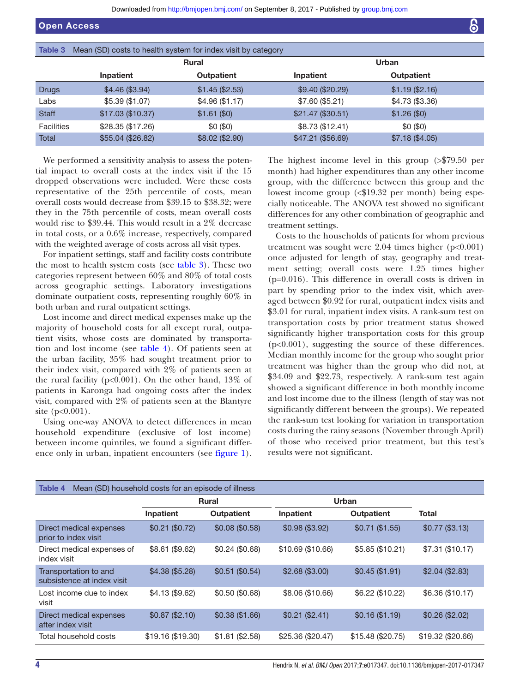<span id="page-3-0"></span>

| Table 3           | Mean (SD) costs to health system for index visit by category |                   |                    |                  |  |  |
|-------------------|--------------------------------------------------------------|-------------------|--------------------|------------------|--|--|
|                   |                                                              | <b>Rural</b>      |                    | Urban            |  |  |
|                   | Inpatient                                                    | <b>Outpatient</b> | Inpatient          | Outpatient       |  |  |
| Drugs             | \$4.46 (\$3.94)                                              | \$1.45 (\$2.53)   | \$9.40 (\$20.29)   | $$1.19$ (\$2.16) |  |  |
| Labs              | $$5.39$ (\$1.07)                                             | \$4.96 (\$1.17)   | \$7.60 (\$5.21)    | \$4.73 (\$3.36)  |  |  |
| <b>Staff</b>      | \$17.03 (\$10.37)                                            | \$1.61 (\$0)      | $$21.47$ (\$30.51) | \$1.26 (\$0)     |  |  |
| <b>Facilities</b> | \$28.35 (\$17.26)                                            | \$0(\$0)          | \$8.73 (\$12.41)   | \$0(\$0)         |  |  |
| Total             | \$55.04 (\$26.82)                                            | \$8.02 (\$2.90)   | \$47.21 (\$56.69)  | \$7.18 (\$4.05)  |  |  |

We performed a sensitivity analysis to assess the potential impact to overall costs at the index visit if the 15 dropped observations were included. Were these costs representative of the 25th percentile of costs, mean overall costs would decrease from \$39.15 to \$38.32; were they in the 75th percentile of costs, mean overall costs would rise to \$39.44. This would result in a 2% decrease in total costs, or a 0.6% increase, respectively, compared with the weighted average of costs across all visit types.

For inpatient settings, staff and facility costs contribute the most to health system costs (see [table](#page-3-0) 3). These two categories represent between 60% and 80% of total costs across geographic settings. Laboratory investigations dominate outpatient costs, representing roughly 60% in both urban and rural outpatient settings.

Lost income and direct medical expenses make up the majority of household costs for all except rural, outpatient visits, whose costs are dominated by transportation and lost income (see [table](#page-3-1) 4). Of patients seen at the urban facility, 35% had sought treatment prior to their index visit, compared with 2% of patients seen at the rural facility ( $p<0.001$ ). On the other hand, 13\% of patients in Karonga had ongoing costs after the index visit, compared with 2% of patients seen at the Blantyre site (p<0.001).

Using one-way ANOVA to detect differences in mean household expenditure (exclusive of lost income) between income quintiles, we found a significant difference only in urban, inpatient encounters (see [figure](#page-4-0) 1).

The highest income level in this group (>\$79.50 per month) had higher expenditures than any other income group, with the difference between this group and the lowest income group (<\$19.32 per month) being especially noticeable. The ANOVA test showed no significant differences for any other combination of geographic and treatment settings.

Costs to the households of patients for whom previous treatment was sought were  $2.04$  times higher ( $p<0.001$ ) once adjusted for length of stay, geography and treatment setting; overall costs were 1.25 times higher (p=0.016). This difference in overall costs is driven in part by spending prior to the index visit, which averaged between \$0.92 for rural, outpatient index visits and \$3.01 for rural, inpatient index visits. A rank-sum test on transportation costs by prior treatment status showed significantly higher transportation costs for this group (p<0.001), suggesting the source of these differences. Median monthly income for the group who sought prior treatment was higher than the group who did not, at \$34.09 and \$22.73, respectively. A rank-sum test again showed a significant difference in both monthly income and lost income due to the illness (length of stay was not significantly different between the groups). We repeated the rank-sum test looking for variation in transportation costs during the rainy seasons (November through April) of those who received prior treatment, but this test's results were not significant.

<span id="page-3-1"></span>

| <b>Table 4</b><br>Mean (SD) household costs for an episode of illness |                   |                   |                    |                    |                   |
|-----------------------------------------------------------------------|-------------------|-------------------|--------------------|--------------------|-------------------|
|                                                                       | <b>Rural</b>      |                   | Urban              |                    |                   |
|                                                                       | Inpatient         | <b>Outpatient</b> | Inpatient          | <b>Outpatient</b>  | Total             |
| Direct medical expenses<br>prior to index visit                       | \$0.21 (\$0.72)   | \$0.08 (\$0.58)   | \$0.98 (\$3.92)    | $$0.71$ (\$1.55)   | \$0.77 (\$3.13)   |
| Direct medical expenses of<br>index visit                             | $$8.61$ (\$9.62)  | \$0.24 (\$0.68)   | $$10.69$ (\$10.66) | \$5.85 (\$10.21)   | \$7.31 (\$10.17)  |
| Transportation to and<br>subsistence at index visit                   | \$4.38 (\$5.28)   | $$0.51$ (\$0.54)  | $$2.68$ (\$3.00)   | \$0.45 (\$1.91)    | \$2.04 (\$2.83)   |
| Lost income due to index<br>visit                                     | $$4.13$ (\$9.62)  | $$0.50$ (\$0.68)  | \$8.06 (\$10.66)   | \$6.22 (\$10.22)   | \$6.36 (\$10.17)  |
| Direct medical expenses<br>after index visit                          | \$0.87 (\$2.10)   | \$0.38 (\$1.66)   | \$0.21 (\$2.41)    | \$0.16 (\$1.19)    | \$0.26 (\$2.02)   |
| Total household costs                                                 | \$19.16 (\$19.30) | $$1.81$ (\$2.58)  | \$25.36 (\$20.47)  | $$15.48$ (\$20.75) | \$19.32 (\$20.66) |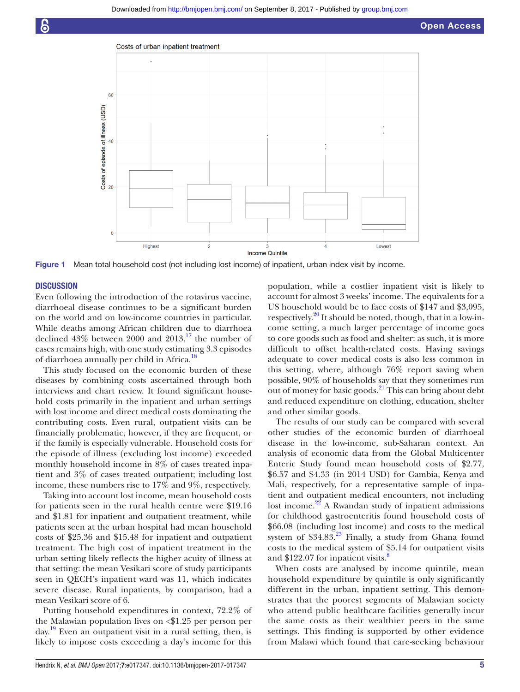

Figure 1 Mean total household cost (not including lost income) of inpatient, urban index visit by income.

#### **DISCUSSION**

Even following the introduction of the rotavirus vaccine, diarrhoeal disease continues to be a significant burden on the world and on low-income countries in particular. While deaths among African children due to diarrhoea declined  $43\%$  between 2000 and  $2013$ ,<sup>17</sup> the number of cases remains high, with one study estimating 3.3 episodes of diarrhoea annually per child in Africa.<sup>[18](#page-6-12)</sup>

This study focused on the economic burden of these diseases by combining costs ascertained through both interviews and chart review. It found significant household costs primarily in the inpatient and urban settings with lost income and direct medical costs dominating the contributing costs. Even rural, outpatient visits can be financially problematic, however, if they are frequent, or if the family is especially vulnerable. Household costs for the episode of illness (excluding lost income) exceeded monthly household income in 8% of cases treated inpatient and 3% of cases treated outpatient; including lost income, these numbers rise to 17% and 9%, respectively.

Taking into account lost income, mean household costs for patients seen in the rural health centre were \$19.16 and \$1.81 for inpatient and outpatient treatment, while patients seen at the urban hospital had mean household costs of \$25.36 and \$15.48 for inpatient and outpatient treatment. The high cost of inpatient treatment in the urban setting likely reflects the higher acuity of illness at that setting: the mean Vesikari score of study participants seen in QECH's inpatient ward was 11, which indicates severe disease. Rural inpatients, by comparison, had a mean Vesikari score of 6.

Putting household expenditures in context, 72.2% of the Malawian population lives on <\$1.25 per person per day[.19](#page-6-13) Even an outpatient visit in a rural setting, then, is likely to impose costs exceeding a day's income for this

<span id="page-4-0"></span>population, while a costlier inpatient visit is likely to account for almost 3 weeks' income. The equivalents for a US household would be to face costs of \$147 and \$3,095, respectively. $^{20}$  It should be noted, though, that in a low-income setting, a much larger percentage of income goes to core goods such as food and shelter: as such, it is more difficult to offset health-related costs. Having savings adequate to cover medical costs is also less common in this setting, where, although 76% report saving when possible, 90% of households say that they sometimes run out of money for basic goods. $^{21}$  This can bring about debt and reduced expenditure on clothing, education, shelter and other similar goods.

The results of our study can be compared with several other studies of the economic burden of diarrhoeal disease in the low-income, sub-Saharan context. An analysis of economic data from the Global Multicenter Enteric Study found mean household costs of \$2.77, \$6.57 and \$4.33 (in 2014 USD) for Gambia, Kenya and Mali, respectively, for a representative sample of inpatient and outpatient medical encounters, not including lost income. $22$  A Rwandan study of inpatient admissions for childhood gastroenteritis found household costs of \$66.08 (including lost income) and costs to the medical system of  $$34.83<sup>23</sup>$  $$34.83<sup>23</sup>$  $$34.83<sup>23</sup>$  Finally, a study from Ghana found costs to the medical system of \$5.14 for outpatient visits and \$122.07 for inpatient visits. $\frac{8}{3}$  $\frac{8}{3}$  $\frac{8}{3}$ 

When costs are analysed by income quintile, mean household expenditure by quintile is only significantly different in the urban, inpatient setting. This demonstrates that the poorest segments of Malawian society who attend public healthcare facilities generally incur the same costs as their wealthier peers in the same settings. This finding is supported by other evidence from Malawi which found that care-seeking behaviour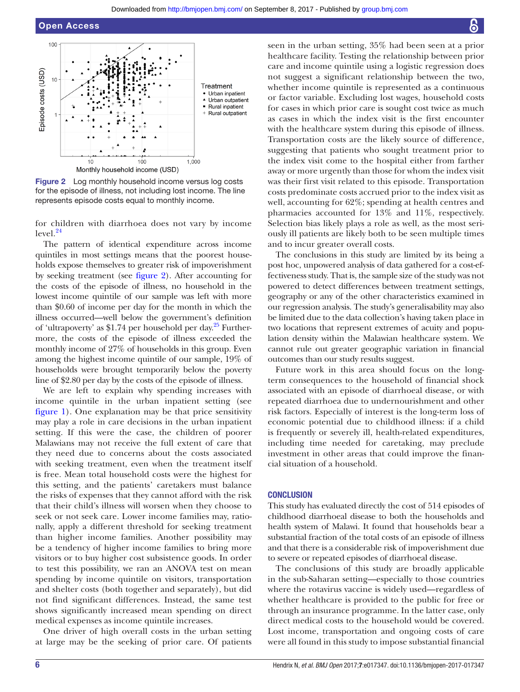

<span id="page-5-0"></span>Figure 2 Log monthly household income versus log costs for the episode of illness, not including lost income. The line represents episode costs equal to monthly income.

for children with diarrhoea does not vary by income  $level.<sup>24</sup>$  $level.<sup>24</sup>$  $level.<sup>24</sup>$ 

The pattern of identical expenditure across income quintiles in most settings means that the poorest households expose themselves to greater risk of impoverishment by seeking treatment (see [figure](#page-5-0) 2). After accounting for the costs of the episode of illness, no household in the lowest income quintile of our sample was left with more than \$0.60 of income per day for the month in which the illness occurred—well below the government's definition of 'ultrapoverty' as \$1.74 per household per day.<sup>[25](#page-6-19)</sup> Furthermore, the costs of the episode of illness exceeded the monthly income of 27% of households in this group. Even among the highest income quintile of our sample, 19% of households were brought temporarily below the poverty line of \$2.80 per day by the costs of the episode of illness.

We are left to explain why spending increases with income quintile in the urban inpatient setting (see [figure](#page-4-0) 1). One explanation may be that price sensitivity may play a role in care decisions in the urban inpatient setting. If this were the case, the children of poorer Malawians may not receive the full extent of care that they need due to concerns about the costs associated with seeking treatment, even when the treatment itself is free. Mean total household costs were the highest for this setting, and the patients' caretakers must balance the risks of expenses that they cannot afford with the risk that their child's illness will worsen when they choose to seek or not seek care. Lower income families may, rationally, apply a different threshold for seeking treatment than higher income families. Another possibility may be a tendency of higher income families to bring more visitors or to buy higher cost subsistence goods. In order to test this possibility, we ran an ANOVA test on mean spending by income quintile on visitors, transportation and shelter costs (both together and separately), but did not find significant differences. Instead, the same test shows significantly increased mean spending on direct medical expenses as income quintile increases.

One driver of high overall costs in the urban setting at large may be the seeking of prior care. Of patients

seen in the urban setting, 35% had been seen at a prior healthcare facility. Testing the relationship between prior care and income quintile using a logistic regression does not suggest a significant relationship between the two, whether income quintile is represented as a continuous or factor variable. Excluding lost wages, household costs for cases in which prior care is sought cost twice as much as cases in which the index visit is the first encounter with the healthcare system during this episode of illness. Transportation costs are the likely source of difference, suggesting that patients who sought treatment prior to the index visit come to the hospital either from farther away or more urgently than those for whom the index visit was their first visit related to this episode. Transportation costs predominate costs accrued prior to the index visit as well, accounting for 62%; spending at health centres and pharmacies accounted for 13% and 11%, respectively. Selection bias likely plays a role as well, as the most seriously ill patients are likely both to be seen multiple times and to incur greater overall costs.

The conclusions in this study are limited by its being a post hoc, unpowered analysis of data gathered for a cost-effectiveness study. That is, the sample size of the study was not powered to detect differences between treatment settings, geography or any of the other characteristics examined in our regression analysis. The study's generalisability may also be limited due to the data collection's having taken place in two locations that represent extremes of acuity and population density within the Malawian healthcare system. We cannot rule out greater geographic variation in financial outcomes than our study results suggest.

Future work in this area should focus on the longterm consequences to the household of financial shock associated with an episode of diarrhoeal disease, or with repeated diarrhoea due to undernourishment and other risk factors. Especially of interest is the long-term loss of economic potential due to childhood illness: if a child is frequently or severely ill, health-related expenditures, including time needed for caretaking, may preclude investment in other areas that could improve the financial situation of a household.

#### **CONCLUSION**

This study has evaluated directly the cost of 514 episodes of childhood diarrhoeal disease to both the households and health system of Malawi. It found that households bear a substantial fraction of the total costs of an episode of illness and that there is a considerable risk of impoverishment due to severe or repeated episodes of diarrhoeal disease.

The conclusions of this study are broadly applicable in the sub-Saharan setting—especially to those countries where the rotavirus vaccine is widely used—regardless of whether healthcare is provided to the public for free or through an insurance programme. In the latter case, only direct medical costs to the household would be covered. Lost income, transportation and ongoing costs of care were all found in this study to impose substantial financial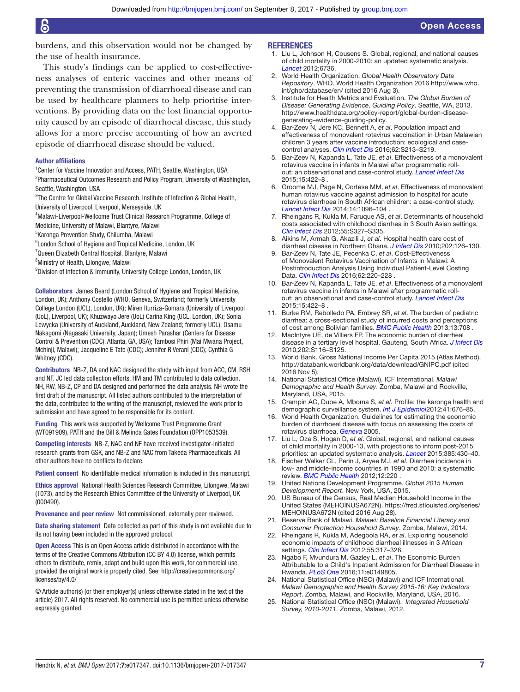#### Open Access

burdens, and this observation would not be changed by the use of health insurance.

This study's findings can be applied to cost-effectiveness analyses of enteric vaccines and other means of preventing the transmission of diarrhoeal disease and can be used by healthcare planners to help prioritise interventions. By providing data on the lost financial opportunity caused by an episode of diarrhoeal disease, this study allows for a more precise accounting of how an averted episode of diarrhoeal disease should be valued.

#### Author affiliations

- <sup>1</sup> Center for Vaccine Innovation and Access, PATH, Seattle, Washington, USA <sup>2</sup>Pharmaceutical Outcomes Research and Policy Program, University of Washington, Seattle, Washington, USA
- <sup>3</sup>The Centre for Global Vaccine Research, Institute of Infection & Global Health,
- University of Liverpool, Liverpool, Merseyside, UK

4 Malawi-Liverpool-Wellcome Trust Clinical Research Programme, College of

Medicine, University of Malawi, Blantyre, Malawi

5 Karonga Prevention Study, Chilumba, Malawi

<sup>6</sup> London School of Hygiene and Tropical Medicine, London, UK

<sup>7</sup>Queen Elizabeth Central Hospital, Blantyre, Malawi

<sup>8</sup>Ministry of Health, Lilongwe, Malawi

9 Division of Infection & Immunity, University College London, London, UK

Collaborators James Beard (London School of Hygiene and Tropical Medicine, London, UK); Anthony Costello (WHO, Geneva, Switzerland; formerly University College London (UCL), London, UK); Miren Iturriza-Gomara (University of Liverpool (UoL), Liverpool, UK); Khuzwayo Jere (UoL) Carina King (UCL, London, UK); Sonia Lewycka (University of Auckland, Auckland, New Zealand; formerly UCL); Osamu Nakagomi (Nagasaki University, Japan); Umesh Parashar (Centers for Disease Control & Prevention (CDC), Atlanta, GA, USA); Tambosi Phiri (Mai Mwana Project, Mchinji, Malawi); Jacqueline E Tate (CDC); Jennifer R Verani (CDC); Cynthia G Whitney (CDC).

Contributors NB-Z, DA and NAC designed the study with input from ACC, CM, RSH and NF. JC led data collection efforts. HM and TM contributed to data collection. NH, RW, NB-Z, CP and DA designed and performed the data analysis. NH wrote the first draft of the manuscript. All listed authors contributed to the interpretation of the data, contributed to the writing of the manuscript, reviewed the work prior to submission and have agreed to be responsible for its content.

Funding This work was supported by Wellcome Trust Programme Grant (WT091909), PATH and the Bill & Melinda Gates Foundation (OPP1053539).

Competing interests NB-Z, NAC and NF have received investigator-initiated research grants from GSK, and NB-Z and NAC from Takeda Pharmaceuticals. All other authors have no conflicts to declare.

Patient consent No identifiable medical information is included in this manuscript.

Ethics approval National Health Sciences Research Committee, Lilongwe, Malawi (1073), and by the Research Ethics Committee of the University of Liverpool, UK (000490).

Provenance and peer review Not commissioned; externally peer reviewed.

Data sharing statement Data collected as part of this study is not available due to its not having been included in the approved protocol.

Open Access This is an Open Access article distributed in accordance with the terms of the Creative Commons Attribution (CC BY 4.0) license, which permits others to distribute, remix, adapt and build upon this work, for commercial use, provided the original work is properly cited. See: [http://creativecommons.org/](http://creativecommons.org/licenses/by/4.0/) [licenses/by/4.0/](http://creativecommons.org/licenses/by/4.0/)

© Article author(s) (or their employer(s) unless otherwise stated in the text of the article) 2017. All rights reserved. No commercial use is permitted unless otherwise expressly granted.

#### **REFERENCES**

- <span id="page-6-0"></span>1. Liu L, Johnson H, Cousens S. Global, regional, and national causes of child mortality in 2000-2010: an updated systematic analysis. *Lancet* 2012;6736.
- <span id="page-6-1"></span>2. World Health Organization. *Global Health Observatory Data Repository*. WHO. World Health Organization 2016 [http://www.who.](http://www.who.int/gho/database/en/) [int/gho/database/en/](http://www.who.int/gho/database/en/) (cited 2016 Aug 3).
- <span id="page-6-2"></span>3. Institute for Health Metrics and Evaluation. *The Global Burden of Disease: Generating Evidence, Guiding Policy*. Seattle, WA, 2013. [http://www.healthdata.org/policy-report/global-burden-disease](http://www.healthdata.org/policy-report/global-burden-disease-generating-evidence-guiding-policy)[generating-evidence-guiding-policy](http://www.healthdata.org/policy-report/global-burden-disease-generating-evidence-guiding-policy).
- 4. Bar-Zeev N, Jere KC, Bennett A, *et al*. Population impact and effectiveness of monovalent rotavirus vaccination in Urban Malawian children 3 years after vaccine introduction: ecological and casecontrol analyses. *[Clin Infect Dis](http://dx.doi.org/10.1093/cid/civ1183)* 2016;62:S213–S219.
- <span id="page-6-3"></span>5. Bar-Zeev N, Kapanda L, Tate JE, *et al*. Effectiveness of a monovalent rotavirus vaccine in infants in Malawi after programmatic rollout: an observational and case-control study. *[Lancet Infect Dis](http://dx.doi.org/10.1016/S1473-3099(14)71060-6)* 2015;15:422–8 .
- 6. Groome MJ, Page N, Cortese MM, *et al*. Effectiveness of monovalent human rotavirus vaccine against admission to hospital for acute rotavirus diarrhoea in South African children: a case-control study. *[Lancet Infect Dis](http://dx.doi.org/10.1016/S1473-3099(14)70940-5)* 2014;14:1096–104 .
- <span id="page-6-4"></span>7. Rheingans R, Kukla M, Faruque AS, *et al*. Determinants of household costs associated with childhood diarrhea in 3 South Asian settings. *[Clin Infect Dis](http://dx.doi.org/10.1093/cid/cis764)* 2012;55:S327–S335.
- <span id="page-6-5"></span>8. Aikins M, Armah G, Akazili J, *et al*. Hospital health care cost of diarrheal disease in Northern Ghana. *[J Infect Dis](http://dx.doi.org/10.1086/653573)* 2010;202:126–130.
- <span id="page-6-6"></span>9. Bar-Zeev N, Tate JE, Pecenka C, *et al*. Cost-Effectiveness of Monovalent Rotavirus Vaccination of Infants in Malawi: A Postintroduction Analysis Using Individual Patient-Level Costing Data. *[Clin Infect Dis](http://dx.doi.org/10.1093/cid/civ1025)* 2016;62:220–228 .
- <span id="page-6-7"></span>10. Bar-Zeev N, Kapanda L, Tate JE, *et al*. Effectiveness of a monovalent rotavirus vaccine in infants in Malawi after programmatic rollout: an observational and case-control study. *[Lancet Infect Dis](http://dx.doi.org/10.1016/S1473-3099(14)71060-6)* 2015;15:422–8 .
- 11. Burke RM, Rebolledo PA, Embrey SR, *et al*. The burden of pediatric diarrhea: a cross-sectional study of incurred costs and perceptions of cost among Bolivian families. *[BMC Public Health](http://dx.doi.org/10.1186/1471-2458-13-708)* 2013;13:708 .
- 12. MacIntyre UE, de Villiers FP. The economic burden of diarrheal disease in a tertiary level hospital, Gauteng, South Africa. *[J Infect Dis](http://dx.doi.org/10.1086/653560)* 2010;202:S116–S125.
- <span id="page-6-8"></span>13. World Bank. Gross National Income Per Capita 2015 (Atlas Method). <http://databank.worldbank.org/data/download/GNIPC.pdf>(cited 2016 Nov 5).
- <span id="page-6-9"></span>14. National Statistical Office (Malawi), ICF International. *Malawi Demographic and Health Survey*. Zomba, Malawi and Rockville, Maryland, USA, 2015.
- <span id="page-6-10"></span>15. Crampin AC, Dube A, Mboma S, *et al*. Profile: the karonga health and demographic surveillance system. *[Int J Epidemiol](http://dx.doi.org/10.1093/ije/dys088)*2012;41:676–85.
- 16. World Health Organization. Guidelines for estimating the economic burden of diarrhoeal disease with focus on assessing the costs of rotavirus diarrhoea. *Geneva* 2005.
- <span id="page-6-11"></span>17. Liu L, Oza S, Hogan D, *et al*. Global, regional, and national causes of child mortality in 2000-13, with projections to inform post-2015 priorities: an updated systematic analysis. *[Lancet](http://dx.doi.org/10.1016/S0140-6736(14)61698-6)* 2015;385:430–40.
- <span id="page-6-12"></span>18. Fischer Walker CL, Perin J, Aryee MJ, *et al*. Diarrhea incidence in low- and middle-income countries in 1990 and 2010: a systematic review. *[BMC Public Health](http://dx.doi.org/10.1186/1471-2458-12-220)* 2012;12:220 .
- <span id="page-6-13"></span>19. United Nations Development Programme. *Global 2015 Human Development Report*. New York, USA, 2015.
- <span id="page-6-14"></span>20. US Bureau of the Census, Real Median Household Income in the United States (MEHOINUSA672N). [https://fred.stlouisfed.org/series/](https://fred.stlouisfed.org/series/MEHOINUSA672N) [MEHOINUSA672N](https://fred.stlouisfed.org/series/MEHOINUSA672N) (cited 2016 Aug 28).
- <span id="page-6-15"></span>21. Reserve Bank of Malawi. *Malawi: Baseline Financial Literacy and Consumer Protection Household Survey*. Zomba, Malawi, 2014.
- <span id="page-6-16"></span>22. Rheingans R, Kukla M, Adegbola RA, *et al*. Exploring household economic impacts of childhood diarrheal illnesses in 3 African settings. *[Clin Infect Dis](http://dx.doi.org/10.1093/cid/cis763)* 2012;55:317–326.
- <span id="page-6-17"></span>23. Ngabo F, Mvundura M, Gazley L, *et al*. The Economic Burden Attributable to a Child's Inpatient Admission for Diarrheal Disease in Rwanda. *[PLoS One](http://dx.doi.org/10.1371/journal.pone.0149805)* 2016;11:e0149805.
- <span id="page-6-18"></span>24. National Statistical Office (NSO) (Malawi) and ICF International. *Malawi Demographic and Health Survey 2015-16: Key Indicators Report*. Zomba, Malawi, and Rockville, Maryland, USA, 2016.
- <span id="page-6-19"></span>25. National Statistical Office (NSO) (Malawi).  *Integrated Household Survey, 2010-2011*. Zomba, Malawi, 2012.